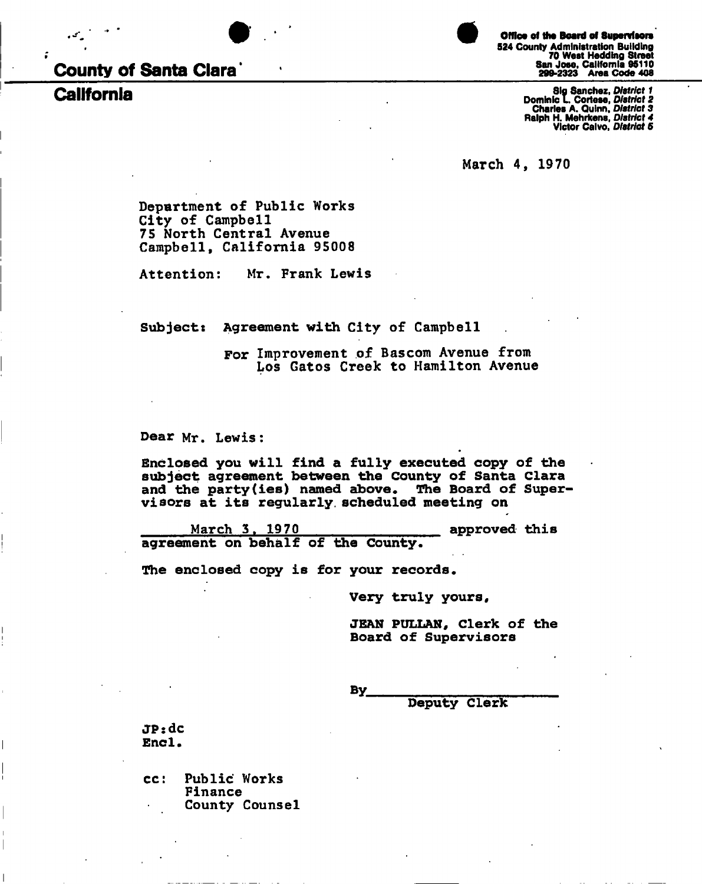



524 County Administration Building 70 West Hedding Street San Jose, California 95110 **County of Santa Clara\*** 299-2323 Area Code 408 Office of the Board of Supervisors

Sig Sanchez, District 1<br>Dominic L. Cortese, District 2<br>Charles A. Quinn, District 3<br>Palph H. Mehrkens, District 4 **Alph H. Mehrkens, District 4** Sig Sanchez, *Distric t 1*  **Victor Calvo,** *Distric t 5* 

**March 4, 1970** 

**Department of Public Works City o£ Campbell 75 North Central Avenue Campbell, California 95008** 

**Attention: Mr. Frank Lewis** 

**Subjects Agreement with City of Campbell** 

**For Improvement of Bascom Avenue from Los Gatos Creek to Hamilton Avenue** 

**Dear Mr. Lewis:** 

**Enclosed you will find a fully executed copy of the subject agreement between the County of Santa Clara and the party(ies) named above. The Board of Supervisors at its regularly, scheduled meeting on** 

**March 3. 1970 approved this agreement on behalf of the County.** 

**The enclosed copy is for your records.** 

**Very truly yours** 

**JEAN PULLAN, Clerk of the Board of Supervisors** 

**By.** 

**Deputy Clerk** 

**JPsdc Enc1.** 

**cc: Public Works Finance County Counsel**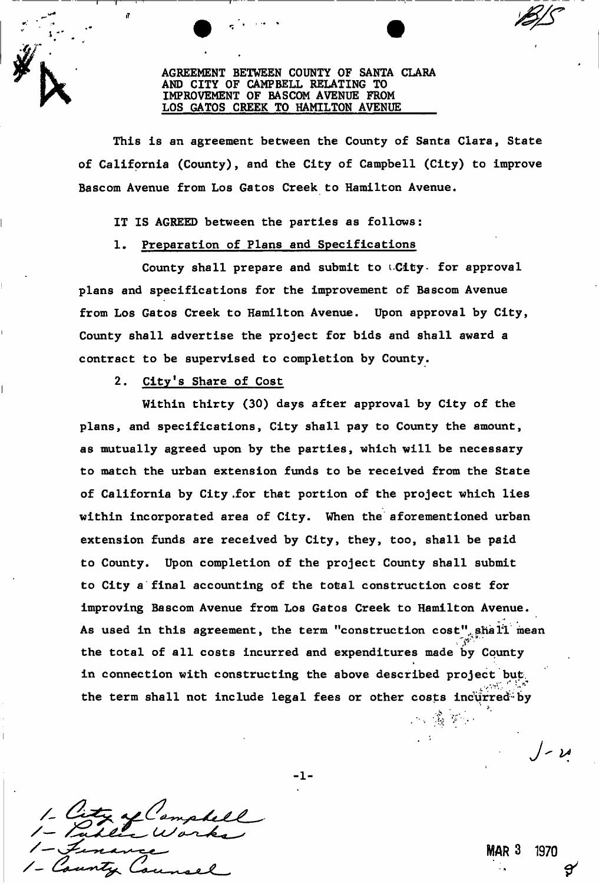### **AGREEMENT BETWEEN COUNTY OF SANTA CLARA AND CITY OF CAMPBELL RELATING TO IMPROVEMENT OF BASCOM AVENUE FROM LOS GATOS CREEK TO HAMILTON AVENUE**

**This is an agreement between the County of Santa Clara, State**  of California (County), and the City of Campbell (City) to improve **Bascom Avenue from Los Gatos Creek to Hamilton Avenue.** 

**IT IS AGREED between the parties as follows:** 

**1. Preparation of Plans and Specifications** 

**County shall prepare and submit to i-City» for approval plans and specifications for the improvement of Bascom Avenue from Los Gatos Creek to Hamilton Avenue. Upon approval by City, County shall advertise the project for bids and shall award a contract to be supervised to completion by County.** 

# **2. City's Share of Cost**

 $\mathcal L \, \mathcal V^*$ 

**Within thirty (30) days after approval by City of the plans, and specifications, City shall pay to County the amount, as mutually agreed upon by the parties, which will be necessary to match the urban extension funds to be received from the State of California by City .for that portion of the project which lies within incorporated area of City. When the aforementioned urban extension funds are received by City, they, too, shall be paid to County. Upon completion of the project County shall submit to City a final accounting of the total construction cost for improving Bascom Avenue from Los Gatos Creek to Hamilton Avenue. As used in this agreement, the term "construction cost",shall mean the total of all costs incurred and expenditures made by County in connection with constructing the above described project but. ••V:\* . ' '•»'\*\* the term shall not include legal fees or other costs incurred-'by** 

-1-

MAR 3 1970

ار - |

 $\mathcal{P}_{\mathcal{P}}=\bigoplus_{i=1}^n\mathcal{P}_{\mathcal{P}}^i\mathcal{P}_{\mathcal{P}}^i$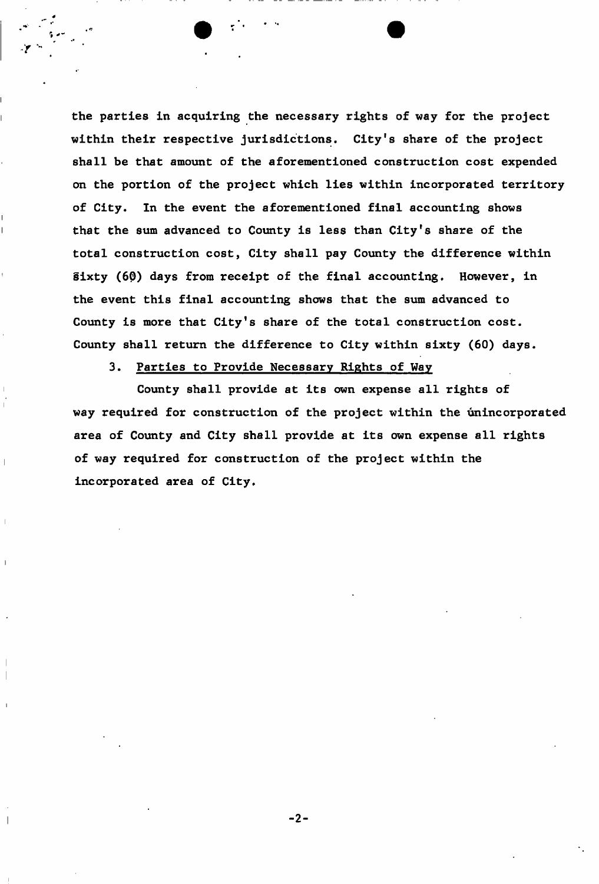**the parties in acquiring the necessary rights of way for the project within their respective jurisdictions. City's share of the project shall be that amount of the aforementioned construction cost expended on the portion of the project which lies within incorporated territory of City. In the event the aforementioned final accounting shows that the sum advanced to County is less than City's share of the total construction cost, City shall pay County the difference within Sixty (60) days from receipt of the final accounting. However, in the event this final accounting shows that the sum advanced to County is more that City's share of the total construction cost. County shall return the difference to City within sixty (60) days.** 

## **3. Parties to Provide Necessary Rights of Way**

**County shall provide at its own expense all rights of way required for construction of the project within the unincorporated area of County and City shall provide at its own expense all rights of way required for construction of the project within the incorporated area of City.**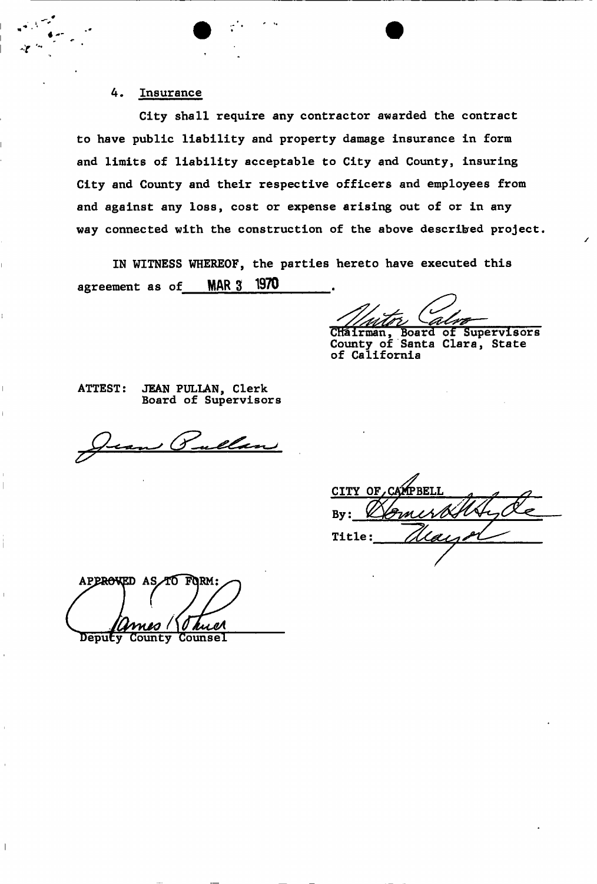# **4. Insurance**

**City shall require any contractor awarded the contract to have public liability and property damage insurance in form and limits of liability acceptable to City and County, insuring City and County and their respective officers and employees from and against any loss, cost or expense arising out of or in any way connected with the construction of the above described project.** 

**IN WITNESS WHEREOF,** the parties hereto have executed this agreement as of  $MAR$  3 1970

/

CHairman, Board of Supervisors **County of Santa Clara, State of California** 

**ATTEST: JEAN PULLAN, Clerk Board of Supervisors** 

<u>ullan</u> , (J

CITY OF Rv: **Title:** 

APPROWED AS TO FORM: **Counsel** County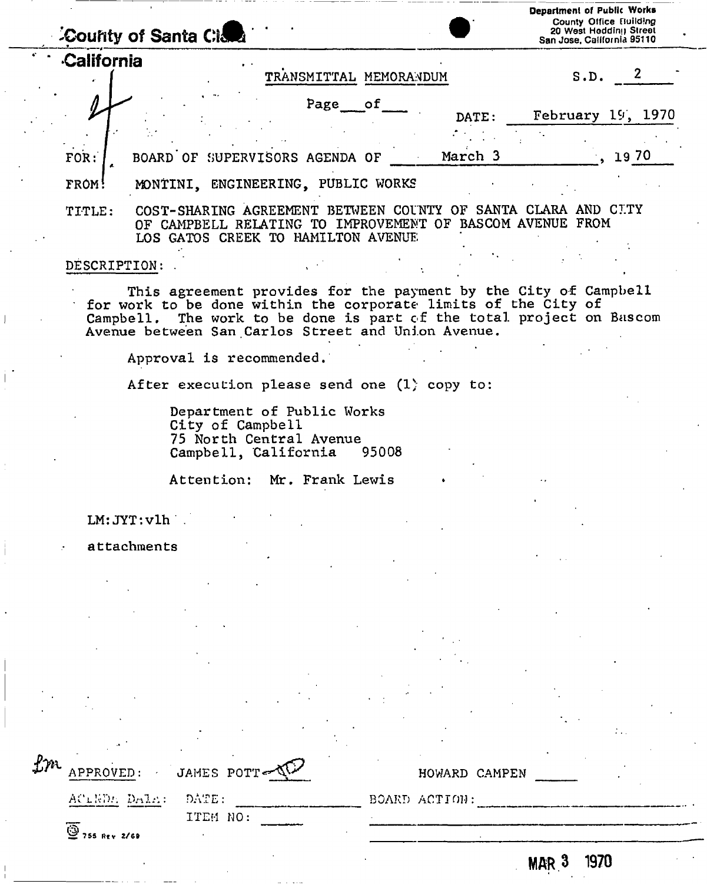|               | County of Santa Cidea                                                                                                                                         | Department of Public Works<br>County Office Eluilding<br>20 West Hedding Street<br>San Jose, California 95110 |                                                |  |  |
|---------------|---------------------------------------------------------------------------------------------------------------------------------------------------------------|---------------------------------------------------------------------------------------------------------------|------------------------------------------------|--|--|
| California    | TRANSMITTAL MEMORANDUM                                                                                                                                        |                                                                                                               | S.D.                                           |  |  |
|               | Page of                                                                                                                                                       | DATE:                                                                                                         | February 19, 1970                              |  |  |
| FOR:<br>FROM! | BOARD OF SUPERVISORS AGENDA OF<br>MONTINI, ENGINEERING, PUBLIC WORKS                                                                                          | March 3                                                                                                       | 19 70                                          |  |  |
| TITLE:        | COST-SHARING AGREEMENT<br><b>BETWEEN</b><br>COUNTY<br>IMPROVEMENT OF<br>CAMPBELL RELATING<br>TO.<br>OF.<br>HAMILTON<br><b>AVENUE</b><br>CREEK TO<br>LOS GATOS | <b>SANTA</b><br>OF                                                                                            | CLARA<br>AND CLTY<br><b>BASCOM AVENUE FROM</b> |  |  |

#### **DESCRIPTION: .**

This agreement provides for the payment by the City of Campbell for work to be done within the corporate limits of the City of Campbell. The work to be done is part of the total project on Bascom Avenue between San Carlos Street and Union Avenue,

Approval is recommended.

After execution please send one (1) copy to:

Department of Public Works City of Campbell 75 North Central Avenue<br>Campbell, California 95008 Campbell, California

Attention: Mr. Frank Lewis

LM: **JYT:**vlh .

attachments

| $\mathcal{L}m$ | APPROVED: JAMES POTT-VI              |          |  | HOWARD CAMPEN |            |      |  |
|----------------|--------------------------------------|----------|--|---------------|------------|------|--|
|                | ACLEDA DALA: DATE:                   |          |  | BOARD ACTION: |            |      |  |
|                |                                      | ITEM NO: |  |               |            |      |  |
|                | $\overline{\mathbf{Q}}$ 755 Rev 2/69 |          |  |               |            |      |  |
|                |                                      |          |  |               | <b>MAR</b> | 1970 |  |